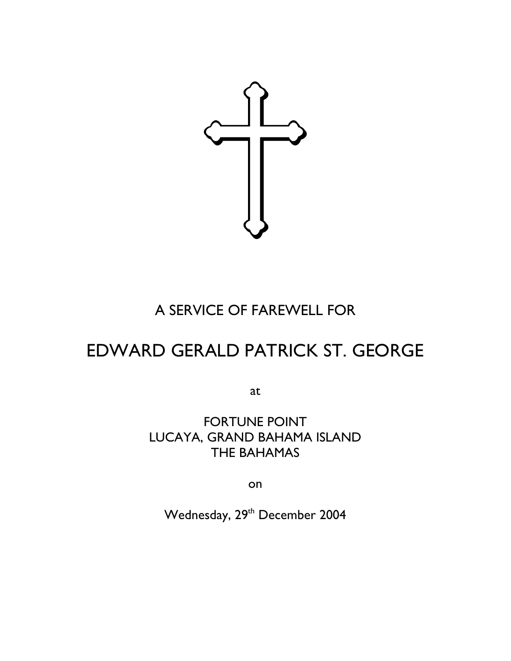

## A SERVICE OF FAREWELL FOR

# EDWARD GERALD PATRICK ST. GEORGE

at

FORTUNE POINT LUCAYA, GRAND BAHAMA ISLAND THE BAHAMAS

on

Wednesday, 29<sup>th</sup> December 2004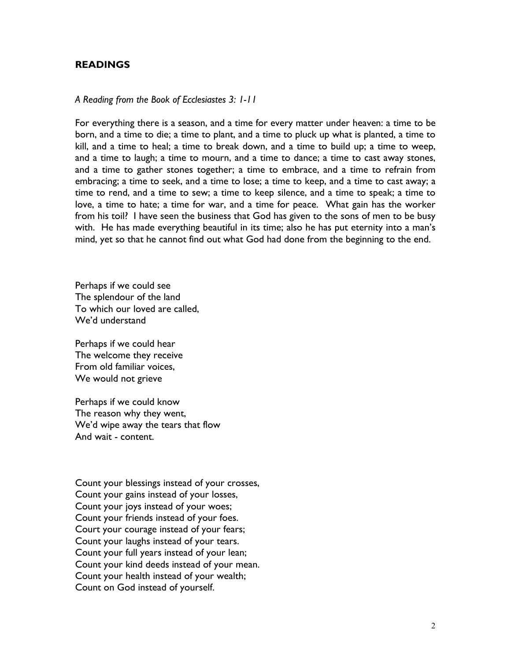## READINGS

#### A Reading from the Book of Ecclesiastes 3: 1-11

For everything there is a season, and a time for every matter under heaven: a time to be born, and a time to die; a time to plant, and a time to pluck up what is planted, a time to kill, and a time to heal; a time to break down, and a time to build up; a time to weep, and a time to laugh; a time to mourn, and a time to dance; a time to cast away stones, and a time to gather stones together; a time to embrace, and a time to refrain from embracing; a time to seek, and a time to lose; a time to keep, and a time to cast away; a time to rend, and a time to sew; a time to keep silence, and a time to speak; a time to love, a time to hate; a time for war, and a time for peace. What gain has the worker from his toil? I have seen the business that God has given to the sons of men to be busy with. He has made everything beautiful in its time; also he has put eternity into a man's mind, yet so that he cannot find out what God had done from the beginning to the end.

Perhaps if we could see The splendour of the land To which our loved are called, We'd understand

Perhaps if we could hear The welcome they receive From old familiar voices, We would not grieve

Perhaps if we could know The reason why they went, We'd wipe away the tears that flow And wait - content.

Count your blessings instead of your crosses, Count your gains instead of your losses, Count your joys instead of your woes; Count your friends instead of your foes. Court your courage instead of your fears; Count your laughs instead of your tears. Count your full years instead of your lean; Count your kind deeds instead of your mean. Count your health instead of your wealth; Count on God instead of yourself.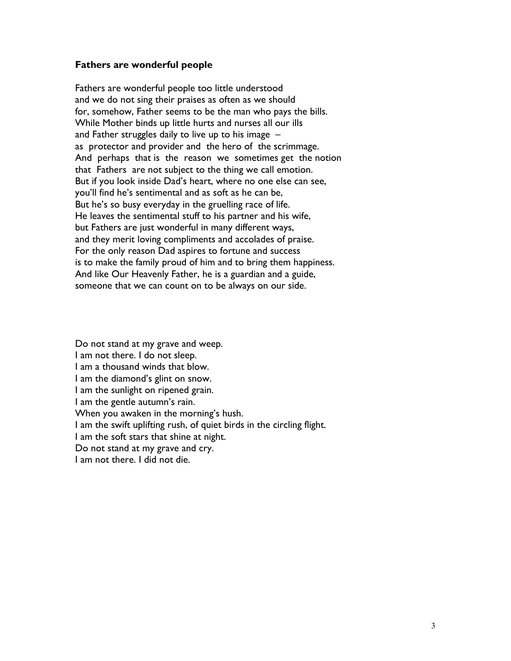### Fathers are wonderful people

Fathers are wonderful people too little understood and we do not sing their praises as often as we should for, somehow, Father seems to be the man who pays the bills. While Mother binds up little hurts and nurses all our ills and Father struggles daily to live up to his image – as protector and provider and the hero of the scrimmage. And perhaps that is the reason we sometimes get the notion that Fathers are not subject to the thing we call emotion. But if you look inside Dad's heart, where no one else can see, you'll find he's sentimental and as soft as he can be, But he's so busy everyday in the gruelling race of life. He leaves the sentimental stuff to his partner and his wife, but Fathers are just wonderful in many different ways, and they merit loving compliments and accolades of praise. For the only reason Dad aspires to fortune and success is to make the family proud of him and to bring them happiness. And like Our Heavenly Father, he is a guardian and a guide, someone that we can count on to be always on our side.

Do not stand at my grave and weep. I am not there. I do not sleep. I am a thousand winds that blow. I am the diamond's glint on snow. I am the sunlight on ripened grain. I am the gentle autumn's rain. When you awaken in the morning's hush. I am the swift uplifting rush, of quiet birds in the circling flight. I am the soft stars that shine at night. Do not stand at my grave and cry. I am not there. I did not die.